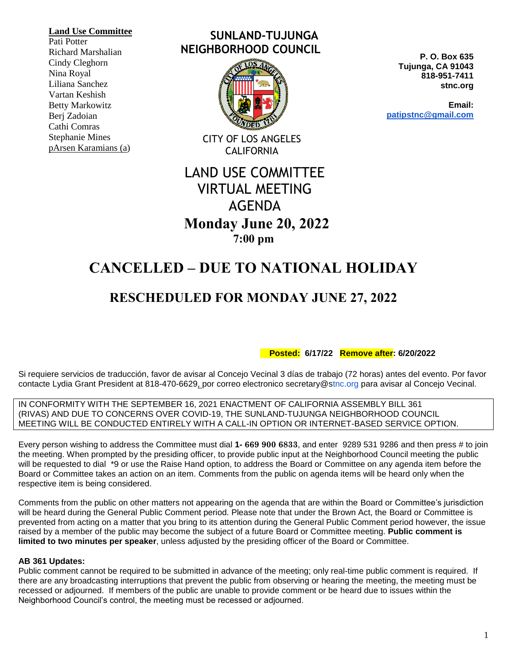#### **Land Use Committee**

Pati Potter Richard Marshalian Cindy Cleghorn Nina Royal Liliana Sanchez Vartan Keshish Betty Markowitz Berj Zadoian Cathi Comras Stephanie Mines pArsen Karamians (a)

### **SUNLAND-TUJUNGA NEIGHBORHOOD COUNCIL**



CITY OF LOS ANGELES **CALIFORNIA** 

# LAND USE COMMITTEE VIRTUAL MEETING AGENDA  **Monday June 20, 2022 7:00 pm**

# **CANCELLED – DUE TO NATIONAL HOLIDAY**

## **RESCHEDULED FOR MONDAY JUNE 27, 2022**

 **Posted: 6/17/22 Remove after: 6/20/2022**

Si requiere servicios de traducción, favor de avisar al Concejo Vecinal 3 días de trabajo (72 horas) antes del evento. Por favor contacte Lydia Grant President at 818-470-6629, por correo electronico secretary@stnc.org para avisar al Concejo Vecinal.

IN CONFORMITY WITH THE SEPTEMBER 16, 2021 ENACTMENT OF CALIFORNIA ASSEMBLY BILL 361 (RIVAS) AND DUE TO CONCERNS OVER COVID-19, THE SUNLAND-TUJUNGA NEIGHBORHOOD COUNCIL MEETING WILL BE CONDUCTED ENTIRELY WITH A CALL-IN OPTION OR INTERNET-BASED SERVICE OPTION.

Every person wishing to address the Committee must dial **1- 669 900 6833**, and enter 9289 531 9286 and then press # to join the meeting. When prompted by the presiding officer, to provide public input at the Neighborhood Council meeting the public will be requested to dial \*9 or use the Raise Hand option, to address the Board or Committee on any agenda item before the Board or Committee takes an action on an item. Comments from the public on agenda items will be heard only when the respective item is being considered.

Comments from the public on other matters not appearing on the agenda that are within the Board or Committee's jurisdiction will be heard during the General Public Comment period. Please note that under the Brown Act, the Board or Committee is prevented from acting on a matter that you bring to its attention during the General Public Comment period however, the issue raised by a member of the public may become the subject of a future Board or Committee meeting. **Public comment is limited to two minutes per speaker**, unless adjusted by the presiding officer of the Board or Committee.

### **AB 361 Updates:**

Public comment cannot be required to be submitted in advance of the meeting; only real-time public comment is required. If there are any broadcasting interruptions that prevent the public from observing or hearing the meeting, the meeting must be recessed or adjourned. If members of the public are unable to provide comment or be heard due to issues within the Neighborhood Council's control, the meeting must be recessed or adjourned.

**P. O. Box 635 Tujunga, CA 91043 818-951-7411 stnc.org**

**Email: patipstnc@gmail.com**